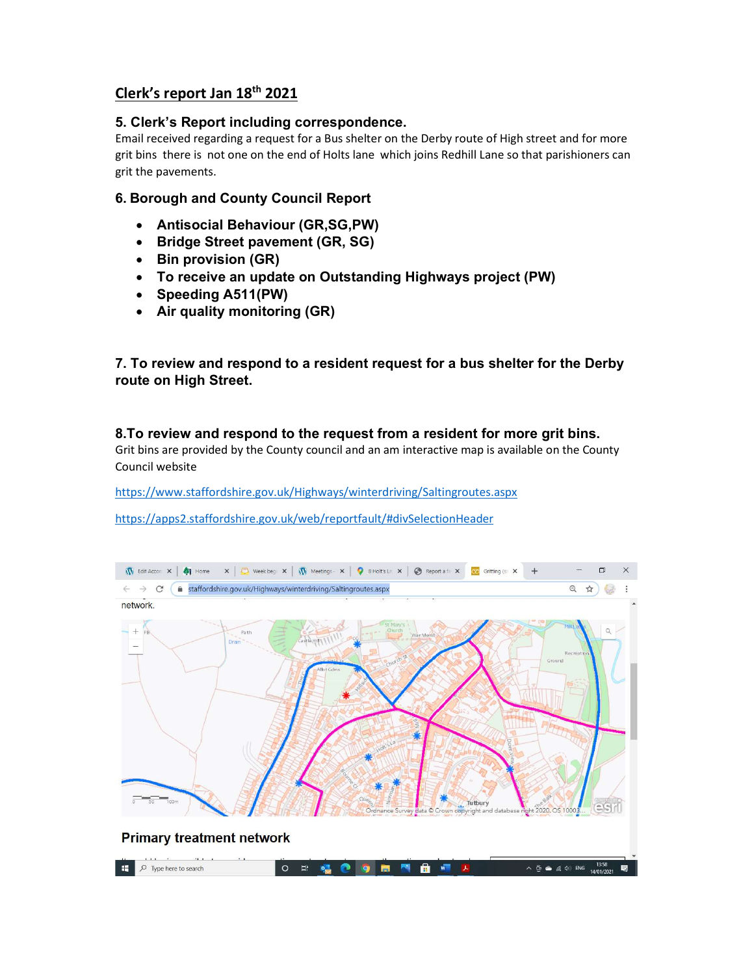# Clerk's report Jan 18th 2021

# 5. Clerk's Report including correspondence.

Email received regarding a request for a Bus shelter on the Derby route of High street and for more grit bins there is not one on the end of Holts lane which joins Redhill Lane so that parishioners can grit the pavements.

# 6. Borough and County Council Report

- Antisocial Behaviour (GR,SG,PW)
- Bridge Street pavement (GR, SG)
- Bin provision (GR)
- To receive an update on Outstanding Highways project (PW)
- Speeding A511(PW)
- Air quality monitoring (GR)

7. To review and respond to a resident request for a bus shelter for the Derby route on High Street.

8.To review and respond to the request from a resident for more grit bins. Grit bins are provided by the County council and an am interactive map is available on the County Council website

https://www.staffordshire.gov.uk/Highways/winterdriving/Saltingroutes.aspx

https://apps2.staffordshire.gov.uk/web/reportfault/#divSelectionHeader

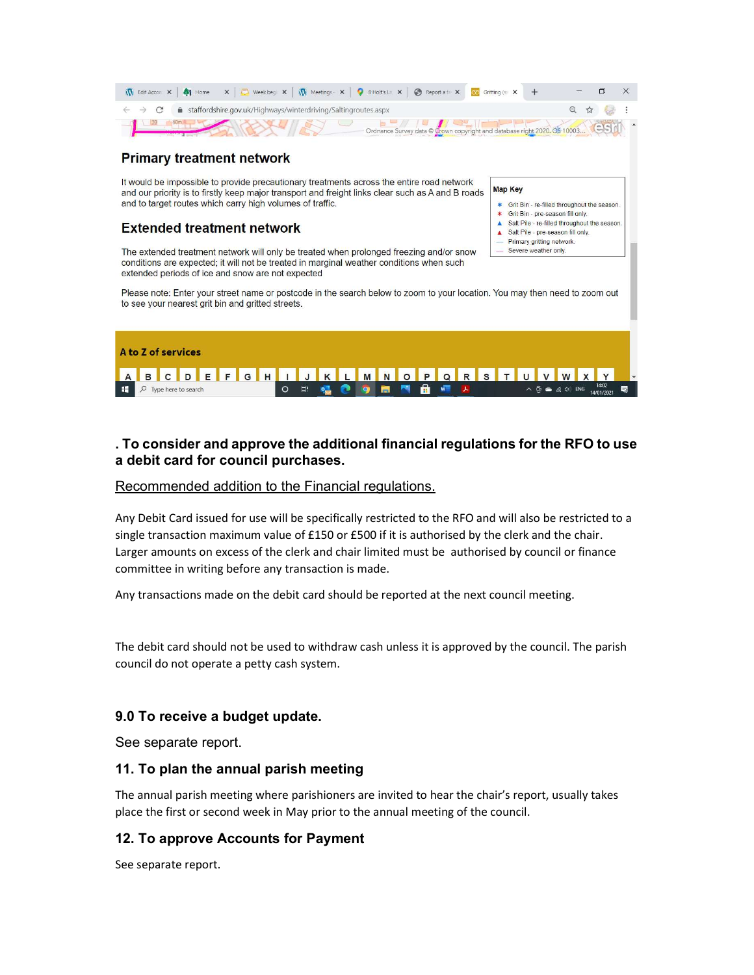| The dit Accord X   Thome X   C Weekbeg X   The Meetings X   O B Holts Ln X   C Report a fix X   Keep Gritting (se X + |                                                                                                                                                                                                                                                                                                                                                                                                                                      |  |
|-----------------------------------------------------------------------------------------------------------------------|--------------------------------------------------------------------------------------------------------------------------------------------------------------------------------------------------------------------------------------------------------------------------------------------------------------------------------------------------------------------------------------------------------------------------------------|--|
| $\leftarrow$ $\rightarrow$ $\mathbf{C}$ $\bullet$ staffordshire.gov.uk/Highways/winterdriving/Saltingroutes.aspx      | $\begin{array}{ccc}\n\mathbb{Q} & \mathbb{Q} & \mathbb{Q} & \mathbb{Q} & \mathbb{Q} & \mathbb{Q} \\ \mathbb{Q} & \mathbb{Q} & \mathbb{Q} & \mathbb{Q} & \mathbb{Q} & \mathbb{Q} & \mathbb{Q} \\ \mathbb{Q} & \mathbb{Q} & \mathbb{Q} & \mathbb{Q} & \mathbb{Q} & \mathbb{Q} & \mathbb{Q} & \mathbb{Q} & \mathbb{Q} \\ \mathbb{Q} & \mathbb{Q} & \mathbb{Q} & \mathbb{Q} & \mathbb{Q} & \mathbb{Q} & \mathbb{Q} & \mathbb{Q} & \math$ |  |
| Ordnance Survey data @ Crown copyright and database right 2020. 05 10003                                              |                                                                                                                                                                                                                                                                                                                                                                                                                                      |  |

**Map Key** 

 $\blacktriangle$ 

 $\blacktriangle$ 

Grit Bin - re-filled throughout the season. Grit Bin - pre-season fill only. Salt Pile - re-filled throughout the season.

Salt Pile - pre-season fill only.

Primary gritting network. Severe weather only

## **Primary treatment network**

It would be impossible to provide precautionary treatments across the entire road network and our priority is to firstly keep major transport and freight links clear such as A and B roads and to target routes which carry high volumes of traffic.

# **Extended treatment network**

The extended treatment network will only be treated when prolonged freezing and/or snow conditions are expected; it will not be treated in marginal weather conditions when such extended periods of ice and snow are not expected

Please note: Enter your street name or postcode in the search below to zoom to your location. You may then need to zoom out to see your nearest grit bin and gritted streets.



# . To consider and approve the additional financial regulations for the RFO to use a debit card for council purchases.

#### Recommended addition to the Financial regulations.

Any Debit Card issued for use will be specifically restricted to the RFO and will also be restricted to a single transaction maximum value of £150 or £500 if it is authorised by the clerk and the chair. Larger amounts on excess of the clerk and chair limited must be authorised by council or finance committee in writing before any transaction is made.

Any transactions made on the debit card should be reported at the next council meeting.

The debit card should not be used to withdraw cash unless it is approved by the council. The parish council do not operate a petty cash system.

## 9.0 To receive a budget update.

See separate report.

#### 11. To plan the annual parish meeting

The annual parish meeting where parishioners are invited to hear the chair's report, usually takes place the first or second week in May prior to the annual meeting of the council.

## 12. To approve Accounts for Payment

See separate report.